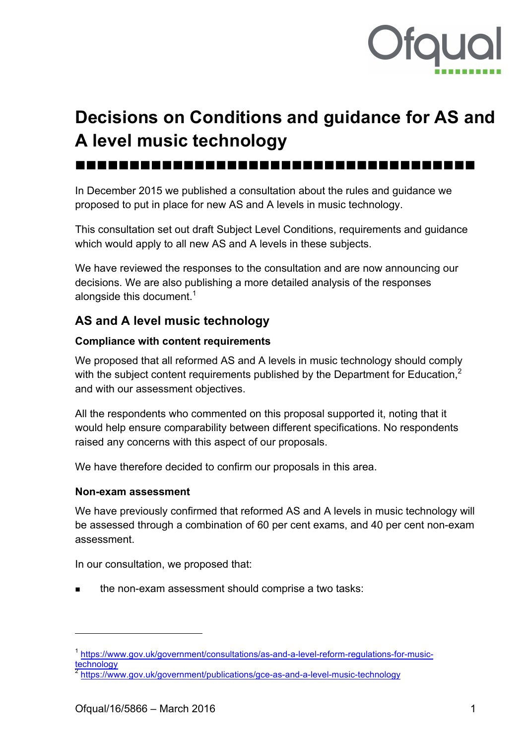

# **Decisions on Conditions and guidance for AS and A level music technology**

nnnnnnnnnnnnnnnnnnnnnnnnnnnnnnnnnnnnn

In December 2015 we published a consultation about the rules and guidance we proposed to put in place for new AS and A levels in music technology.

This consultation set out draft Subject Level Conditions, requirements and guidance which would apply to all new AS and A levels in these subjects.

We have reviewed the responses to the consultation and are now announcing our decisions. We are also publishing a more detailed analysis of the responses alongside this document. $^{\rm 1}$ 

## **AS and A level music technology**

#### **Compliance with content requirements**

We proposed that all reformed AS and A levels in music technology should comply with the subiect content requirements published by the Department for Education.<sup>2</sup> and with our assessment objectives.

All the respondents who commented on this proposal supported it, noting that it would help ensure comparability between different specifications. No respondents raised any concerns with this aspect of our proposals.

We have therefore decided to confirm our proposals in this area.

#### **Non-exam assessment**

We have previously confirmed that reformed AS and A levels in music technology will be assessed through a combination of 60 per cent exams, and 40 per cent non-exam assessment.

In our consultation, we proposed that:

the non-exam assessment should comprise a two tasks:

 $\overline{a}$ 

<sup>&</sup>lt;sup>1</sup> https://www.gov.uk/government/consultations/as-and-a-level-reform-regulations-for-musictechnology

https://www.gov.uk/government/publications/gce-as-and-a-level-music-technology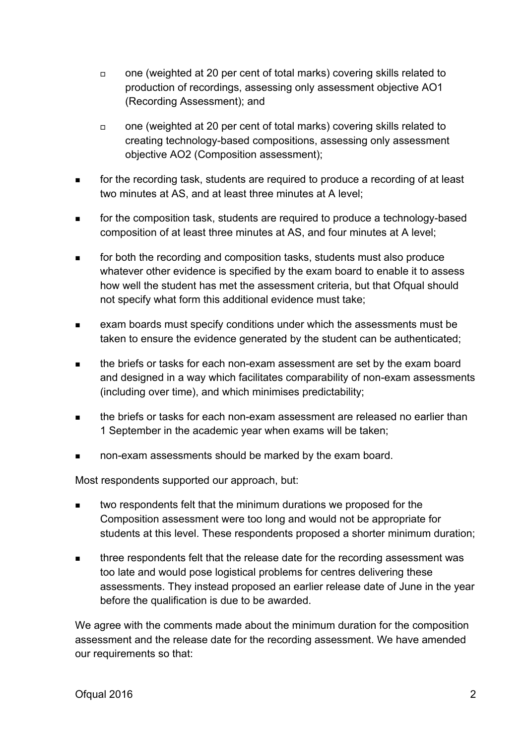- $\Box$  one (weighted at 20 per cent of total marks) covering skills related to production of recordings, assessing only assessment objective AO1 (Recording Assessment); and
- $\Box$  one (weighted at 20 per cent of total marks) covering skills related to creating technology-based compositions, assessing only assessment objective AO2 (Composition assessment);
- **number** for the recording task, students are required to produce a recording of at least two minutes at AS, and at least three minutes at A level;
- **number** for the composition task, students are required to produce a technology-based composition of at least three minutes at AS, and four minutes at A level;
- **n** for both the recording and composition tasks, students must also produce whatever other evidence is specified by the exam board to enable it to assess how well the student has met the assessment criteria, but that Ofqual should not specify what form this additional evidence must take;
- <sup>n</sup> exam boards must specify conditions under which the assessments must be taken to ensure the evidence generated by the student can be authenticated;
- **number 1** the briefs or tasks for each non-exam assessment are set by the exam board and designed in a way which facilitates comparability of non-exam assessments (including over time), and which minimises predictability;
- $\blacksquare$  the briefs or tasks for each non-exam assessment are released no earlier than 1 September in the academic year when exams will be taken;
- **non-exam assessments should be marked by the exam board.**

Most respondents supported our approach, but:

- **number 1** two respondents felt that the minimum durations we proposed for the Composition assessment were too long and would not be appropriate for students at this level. These respondents proposed a shorter minimum duration;
- <sup>n</sup> three respondents felt that the release date for the recording assessment was too late and would pose logistical problems for centres delivering these assessments. They instead proposed an earlier release date of June in the year before the qualification is due to be awarded.

We agree with the comments made about the minimum duration for the composition assessment and the release date for the recording assessment. We have amended our requirements so that: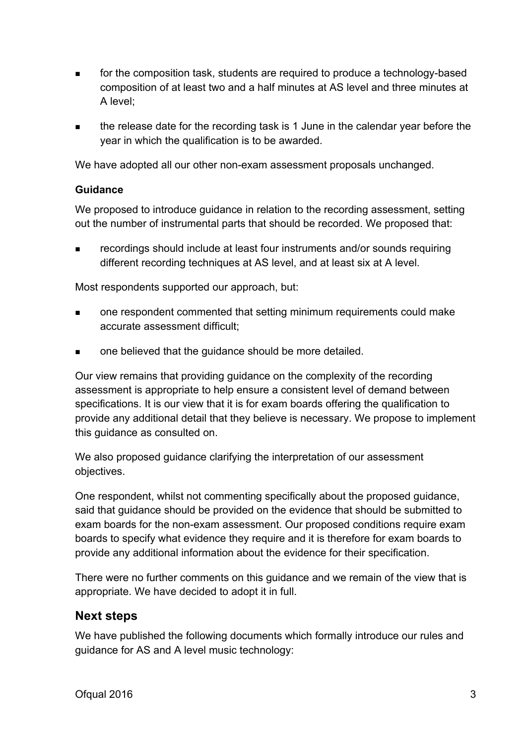- n for the composition task, students are required to produce a technology-based composition of at least two and a half minutes at AS level and three minutes at A level;
- <sup>n</sup> the release date for the recording task is 1 June in the calendar year before the year in which the qualification is to be awarded.

We have adopted all our other non-exam assessment proposals unchanged.

#### **Guidance**

We proposed to introduce guidance in relation to the recording assessment, setting out the number of instrumental parts that should be recorded. We proposed that:

<sup>n</sup> recordings should include at least four instruments and/or sounds requiring different recording techniques at AS level, and at least six at A level.

Most respondents supported our approach, but:

- <sup>n</sup> one respondent commented that setting minimum requirements could make accurate assessment difficult;
- one believed that the guidance should be more detailed.

Our view remains that providing guidance on the complexity of the recording assessment is appropriate to help ensure a consistent level of demand between specifications. It is our view that it is for exam boards offering the qualification to provide any additional detail that they believe is necessary. We propose to implement this guidance as consulted on.

We also proposed guidance clarifying the interpretation of our assessment objectives.

One respondent, whilst not commenting specifically about the proposed guidance, said that guidance should be provided on the evidence that should be submitted to exam boards for the non-exam assessment. Our proposed conditions require exam boards to specify what evidence they require and it is therefore for exam boards to provide any additional information about the evidence for their specification.

There were no further comments on this guidance and we remain of the view that is appropriate. We have decided to adopt it in full.

### **Next steps**

We have published the following documents which formally introduce our rules and guidance for AS and A level music technology: